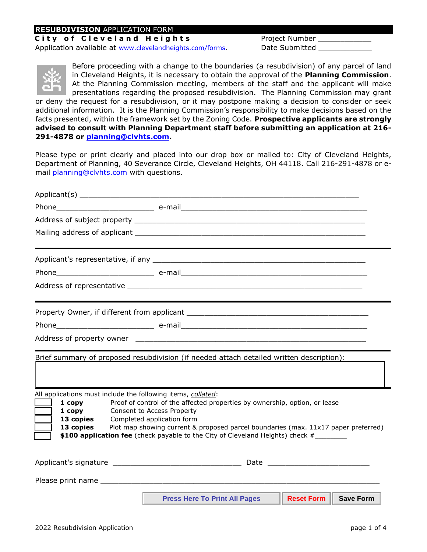## **RESUBDIVISION** APPLICATION FORM

**City of Cleveland Heights** Project Number

Application available at [www.clevelandheights.com/forms](http://www.clevelandheights.com/forms)[.](http://www.clevelandheights.com/forms) Date Submitted



Before proceeding with a change to the boundaries (a resubdivision) of any parcel of land in Cleveland Heights, it is necessary to obtain the approval of the **Planning Commission**. At the Planning Commission meeting, members of the staff and the applicant will make presentations regarding the proposed resubdivision. The Planning Commission may grant

or deny the request for a resubdivision, or it may postpone making a decision to consider or seek additional information. It is the Planning Commission's responsibility to make decisions based on the facts presented, within the framework set by the Zoning Code. **Prospective applicants are strongly advised to consult with Planning Department staff before submitting an application at 216- 291-4878 or planning@clvhts.com.**

Please type or print clearly and placed into our drop box or mailed to: City of Cleveland Heights, Department of Planning, 40 Severance Circle, Cleveland Heights, OH 44118. Call 216-291-4878 or email [planning@clvhts.com](mailto:planning@clvhts.com) with questions.

| Phone e-mail e-mail e-mail e-mail e-mail e-mail e-mail and a state of the state of the state of the state of the state of the state of the state of the state of the state of the state of the state of the state of the state |                                                                                                                                                                                                                              |                                      |                             |  |
|--------------------------------------------------------------------------------------------------------------------------------------------------------------------------------------------------------------------------------|------------------------------------------------------------------------------------------------------------------------------------------------------------------------------------------------------------------------------|--------------------------------------|-----------------------------|--|
|                                                                                                                                                                                                                                |                                                                                                                                                                                                                              |                                      |                             |  |
|                                                                                                                                                                                                                                |                                                                                                                                                                                                                              |                                      |                             |  |
|                                                                                                                                                                                                                                |                                                                                                                                                                                                                              |                                      |                             |  |
|                                                                                                                                                                                                                                |                                                                                                                                                                                                                              |                                      |                             |  |
|                                                                                                                                                                                                                                |                                                                                                                                                                                                                              |                                      |                             |  |
|                                                                                                                                                                                                                                |                                                                                                                                                                                                                              |                                      |                             |  |
|                                                                                                                                                                                                                                |                                                                                                                                                                                                                              |                                      |                             |  |
|                                                                                                                                                                                                                                |                                                                                                                                                                                                                              |                                      |                             |  |
| Brief summary of proposed resubdivision (if needed attach detailed written description):                                                                                                                                       |                                                                                                                                                                                                                              |                                      |                             |  |
| All applications must include the following items, collated:<br>$1$ copy<br>$1$ copy<br>13 copies<br>13 copies<br>\$100 application fee (check payable to the City of Cleveland Heights) check #                               | Proof of control of the affected properties by ownership, option, or lease<br>Consent to Access Property<br>Completed application form<br>Plot map showing current & proposed parcel boundaries (max. 11x17 paper preferred) |                                      |                             |  |
|                                                                                                                                                                                                                                |                                                                                                                                                                                                                              |                                      |                             |  |
|                                                                                                                                                                                                                                |                                                                                                                                                                                                                              |                                      |                             |  |
|                                                                                                                                                                                                                                |                                                                                                                                                                                                                              | <b>Press Here To Print All Pages</b> | <b>Reset Form Save Form</b> |  |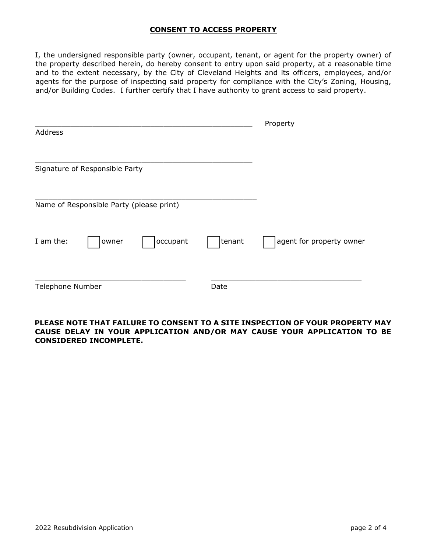## **CONSENT TO ACCESS PROPERTY**

I, the undersigned responsible party (owner, occupant, tenant, or agent for the property owner) of the property described herein, do hereby consent to entry upon said property, at a reasonable time and to the extent necessary, by the City of Cleveland Heights and its officers, employees, and/or agents for the purpose of inspecting said property for compliance with the City's Zoning, Housing, and/or Building Codes. I further certify that I have authority to grant access to said property.

|                  |                                          |          |        | Property                 |
|------------------|------------------------------------------|----------|--------|--------------------------|
| Address          |                                          |          |        |                          |
|                  |                                          |          |        |                          |
|                  | Signature of Responsible Party           |          |        |                          |
|                  | Name of Responsible Party (please print) |          |        |                          |
| I am the:        | owner                                    | occupant | tenant | agent for property owner |
| Telephone Number |                                          |          | Date   |                          |

## **PLEASE NOTE THAT FAILURE TO CONSENT TO A SITE INSPECTION OF YOUR PROPERTY MAY CAUSE DELAY IN YOUR APPLICATION AND/OR MAY CAUSE YOUR APPLICATION TO BE CONSIDERED INCOMPLETE.**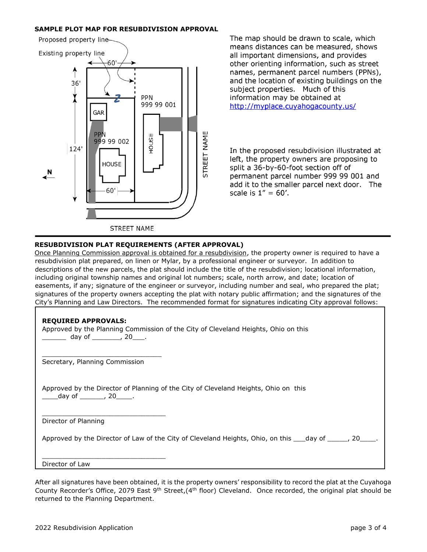#### **SAMPLE PLOT MAP FOR RESUBDIVISION APPROVAL**



The map should be drawn to scale, which means distances can be measured, shows all important dimensions, and provides other orienting information, such as street names, permanent parcel numbers (PPNs), and the location of existing buildings on the subject properties. Much of this information may be obtained at http://myplace.cuyahogacounty.us/

In the proposed resubdivision illustrated at left, the property owners are proposing to split a 36-by-60-foot section off of permanent parcel number 999 99 001 and add it to the smaller parcel next door. The scale is  $1'' = 60'$ .

#### **RESUBDIVISION PLAT REQUIREMENTS (AFTER APPROVAL)**

Once Planning Commission approval is obtained for a resubdivision, the property owner is required to have a resubdivision plat prepared, on linen or Mylar, by a professional engineer or surveyor. In addition to descriptions of the new parcels, the plat should include the title of the resubdivision; locational information, including original township names and original lot numbers; scale, north arrow, and date; location of easements, if any; signature of the engineer or surveyor, including number and seal, who prepared the plat; signatures of the property owners accepting the plat with notary public affirmation; and the signatures of the City's Planning and Law Directors. The recommended format for signatures indicating City approval follows:

### **REQUIRED APPROVALS:**

| Approved by the Planning Commission of the City of Cleveland Heights, Ohio on this<br>day of __________, 20____. |
|------------------------------------------------------------------------------------------------------------------|
| Secretary, Planning Commission                                                                                   |
| Approved by the Director of Planning of the City of Cleveland Heights, Ohio on this<br>day of _______, 20_____.  |
| Director of Planning                                                                                             |
| Approved by the Director of Law of the City of Cleveland Heights, Ohio, on this ___day of _____, 20____.         |
| Director of Law                                                                                                  |

After all signatures have been obtained, it is the property owners' responsibility to record the plat at the Cuyahoga County Recorder's Office, 2079 East 9<sup>th</sup> Street,(4<sup>th</sup> floor) Cleveland. Once recorded, the original plat should be returned to the Planning Department.